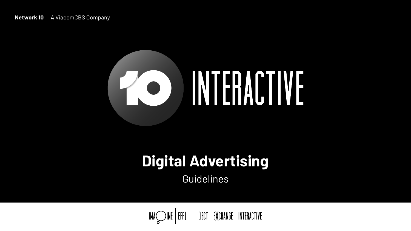# **Network 10** A ViacomCBS Company



# **Digital Advertising** Guidelines



# INTERACTIVE

 $IMA \bigotimes INE$  | EFF( ) ECT | EXCHANGE | INTERACTIVE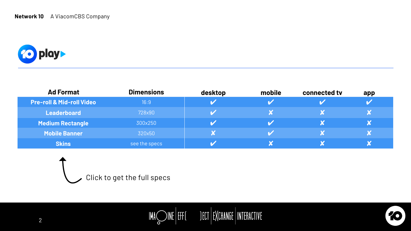# $\mathsf{IMA}\bigotimes \mathsf{INE}\Big|\mathsf{EFFI}\Big|\quad \mathsf{JET}\Big|\mathsf{E}\mathsf{XCHANGE}\Big|\mathsf{INIFHALTIVE}\Big.$

| $\blacksquare$ | a kacamatan |  |
|----------------|-------------|--|
|                |             |  |
|                |             |  |
|                |             |  |
|                |             |  |



70

# **Network 10** A ViacomCBS Company



| <b>Ad Format</b>                     | <b>Dimensions</b> | desktop              | mobile               | connected tv | app                        |
|--------------------------------------|-------------------|----------------------|----------------------|--------------|----------------------------|
| <b>Pre-roll &amp; Mid-roll Video</b> | 16:9              | M                    |                      |              | $\boldsymbol{\mathcal{U}}$ |
| <b>Leaderboard</b>                   | 728×90            | M                    | X                    |              | X                          |
| <b>Medium Rectangle</b>              | 300x250           | $\blacktriangledown$ | $\blacktriangledown$ |              | IX                         |
| <b>Mobile Banner</b>                 | 320x50            | X                    | $\blacktriangledown$ |              | X                          |
| <b>Skins</b>                         | see the specs     | <b>V</b>             |                      |              | X                          |

Click to get the full specs

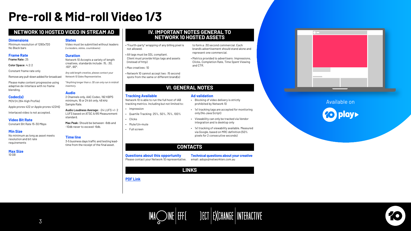# <span id="page-2-0"></span>**Pre-roll & Mid-roll Video 1/3**

# **NETWORK 10 HOSTED VIDEO IN STREAM AD IV. IMPORTANT NOTES GENERAL TO**

# **NETWORK 10 HOSTED ASSETS**

Available on

# IMAQ INE EFFE JECT EXCHANGE INTERACTIVE



### **Dimensions**

### **Slates**

# **Duration**

### **Audio**

# **Time line**

# **Frame Rate**

Minimum resolution of 1280x720

- Minimum resolution of I28Ux72U video must be submitted without leaders with-party" wrapping of any billing pixel is<br>No Black bars (i.e leaders, slates, countdowns). not allowed.
	- All tags must be SSL compliant. Client must provide https tags and assets (instead of http)
	- Max creatives: 10
	- Network 10 cannot accept two :15 second spots from the same or different brand(s)

#### **Min Size** No minimum as long as asset meets resolution and bit rate requirements

to form a :30 second commercial. Each brand's advertisement should stand alone and represent one commercial.

• Metrics provided to advertisers: Impressions, Clicks, Completion Rate, Time Spent Viewing and CTR.

**Max Size** 10 GB

Video must be submitted without leaders *(i.e leaders, slates, countdowns).*

**Video Bit Rate** Constant Bit Rate 15-30 Mbps Network 10 Accepts a variety of length creatives, standards include :15, :30, :60\*,:90\*.

**Codec(s)** MOV (H.264 High Profile) *Any odd length creative, please contact your Network 10 Sales Representative.*

*\*Anything longer than a :30 can only run in midroll inventory.*

2 Channels only, AAC Codec, 192 KBPS minimum, 16 or 24 bit only, 48 kHz Sample Rate.

**Audio Loudness Average:** -24 LUFS +/- 2 LUFS based on ATSC A/85 Measurement standard.

**Max Peak:** Should be between -8db and -10db never to exceed -6db.

3-5 business days traffic and testing leadtime from the receipt of the final asset.

**Frame Rate:** 25

**Color Space:** 4:2:2

Constant frame rate only

Remove any pull-down added for broadcast

Please make content progressive using adaptive de-interlace with no frame blending.

Apple prores 422 or Apple prores 422HQ

Interlaced video is not accepted.

# **CONTACTS**

# **VI. GENERAL NOTES**

# **Tracking Available Ad validation**

# **Questions about this opportunity**

Please contact your Network 10 representative.

**Technical questions about your creative** email: adops@networkten.com.au



Network 10 is able to run the full host of IAB tracking metrics. Including but not limited to:

- Impression
- Quartile Tracking: 25%, 50%, 75%, 100%
- Clicks
- Mute/Un-mute
- Full screen
- Blocking of video delivery is strictly prohibited by Network 10
- 1x1 tracking tags are accepted for monitoring only (No Java Script)
- Viewability can only be tracked via Vendor integration and is desktop only
- 1x1 tracking of viewability available. Measured via Google, based on MRC definition (50% pixels for 2 consecutive seconds)

# **LINKS**

**[PDF Link](https://drive.google.com/file/d/1lDbtml1P-iq73zDxaNGx_7qkpcwIJjrp/view)**

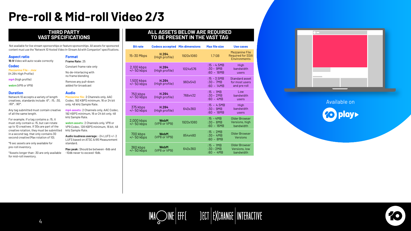# **Pre-roll & Mid-roll Video 2/3**

# **THIRD PARTY VAST SPECIFICATIONS**

# **ALL ASSETS BELOW ARE REQUIRED TO BE PRESENT IN THE VAST TAG**

Not available for live stream sponsorships or feature sponsorships. All assets for sponsored content must use the "Network 10 Hosted Video In-Stream Ad with Companion" specifications.

### **Aspect ratio**

**Codec**

#### **Duration**

**16:9** Video will auto-scale correctly

**Mezzanine File - .mov** (H.264 High Profile)

**mp4** (high profile)

**webm** (VP8 or VP9)

#### **Format**

**Frame Rate:** 25

Constant frame rate only

No de-interlacing with no frame blending

Remove any pull-down added for broadcast

#### **Audio**

**Mezzanine file:** 2 Channels only, AAC Codec, 192 KBPS minimum, 16 or 24 bit only, 48 kHz Sample Rate.

**mp4 assets:** 2 Channels only, AAC Codec, 192 KBPS minimum, 16 or 24 bit only, 48 kHz Sample Rate.

**webm assets:** 2 Channels only, VP8 or VP9 Codec, 128 KBPS minimum, 16 bit, 48 kHz Sample Rate.

**Audio loudness average:** -24 LUFS +/- 2 LUFS based on ATSC A/85 Measurement standard.

**Max peak:** Should be between -8db and -10db never to exceed -6db.

Network 10 accepts a variety of length creatives, standards include :6\*, :15, :30, :60\*, :90\*.

Any tag submitted must contain creative of all the same length.

For example, if a tag contains a :15, it must only contain a :15, but can rotate up to 10 creatives. If 30s are part of the creative rotation, they must be submitted in a second tag, that only contains 30 second creative (Max rotation of 10).

\*6 sec assets are only available for pre-roll inventory.

\*Assets longer than :30 are only available for mid-roll inventory.

| <b>Bit rate</b>             | <b>Codecs accepted Min dimensions</b> |           | <b>Max file size</b>                         | <b>Use cases</b>                                                         |
|-----------------------------|---------------------------------------|-----------|----------------------------------------------|--------------------------------------------------------------------------|
| 15-30 Mbps                  | H.264<br>(High profile)               | 1920x1080 | 1.7 <sub>GB</sub>                            | <b>Mezzanine File</b><br><b>Required for SSAI</b><br><b>Environments</b> |
| 2,100 kbps<br>+/- 50 kbps   | H.264<br>(High profile)               | 1024x576  | $:15 - 4.5MB$<br>$:30 - 9MB$<br>$:60 - 18MB$ | High<br>bandwidth<br>users                                               |
| 1,500 kbps<br>$+/- 50$ kbps | H.264<br>(High profile)               | 960x540   | $:15 - 3.5MB$<br>$:30 - 7MB$<br>$:60 - 14MB$ | <b>Standard asset</b><br>for most users<br>and pre roll                  |
| 750 kbps<br>$+/- 50$ kbps   | H.264<br>(High profile)               | 768x432   | $:15 - 1MB$<br>$:30 - 2MB$<br>$:60 - 4MB$    | Low<br>bandwidth<br>users                                                |
| 375 kbps<br>+/- 50 kbps     | H.264<br>(High profile)               | 640x360   | $:15 - 4.5MB$<br>$:30 - 9MB$<br>$:60 - 18MB$ | High<br>bandwidth<br>users                                               |
| 2,000 kbps<br>$+/- 50$ kbps | <b>WebM</b><br>(VP8 or VP9)           | 1920x1080 | $:15 - 4MB$<br>$:30 - 8MB$<br>$:60 - 16MB$   | <b>Older Browser</b><br>Versions, high<br>bandwidth                      |
| 700 kbps<br>$+/- 50$ kbps   | <b>WebM</b><br>(VP8 or VP9)           | 854x480   | $:15 - 2MB$<br>$:30 - 4MB$<br>$:60 - 8MB$    | <b>Older Browser</b><br><b>Versions</b>                                  |
| 360 kbps<br>+/-50 kbps      | <b>WebM</b><br>(VP8 or VP9)           | 640x360   | $:15 - 1MB$<br>$:30 - 2MB$<br>$:60 - 4MB$    | <b>Older Browser</b><br>Versions, low<br>bandwidth                       |





# IMAQ INE EFFE JECT EXCHANGE INTERACTIVE

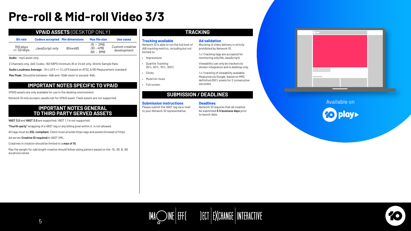# **Pre-roll & Mid-roll Video 3/3**

# **VPAID ASSETS** (DESKTOP ONLY)

# **IMPORTANT NOTES SPECIFIC TO VPAID**

# **IMPORTANT NOTES GENERAL TO THIRD PARTY SERVED ASSETS**

| <b>Bit rate</b>         | <b>Codecs accepted Min dimensions</b> |         | <b>Max file size</b>                      | Use cases                      |
|-------------------------|---------------------------------------|---------|-------------------------------------------|--------------------------------|
| 700 kbps<br>+/- 50 kbps | JavaScript only                       | 854x480 | $:15 - 2MB$<br>$:30 - 4MB$<br>$:60 - 8MB$ | Custom creative<br>development |

**Audio** – mp4 asset only.

2 Channels only, AAC Codec, 192 KBPS minimum,16 or 24 bit only, 48 kHz Sample Rate.

**Audio Loudness Average:** -24 LUFS +/- 2 LUFS based on ATSC A/85 Measurement standard.

**Max Peak:** Should be between -8db and -10db never to exceed -6db.

VPAID assets are only available for use in the desktop environment.

Network 10 only accepts JavaScript for VPAID asset. Flash assets are not supported.

**VAST 3.0** and **VAST 2.0** are supported; VAST 1.1 is not supported.

1 x 1 tracking tags are accepted for monitoring only (No JavaScript).

**"Fourth-party"** wrapping of a VAST tag or any billing pixel within it, is not allowed.

All tags must be **SSL compliant.** Client must provide https tags and assets (instead of http).

# Available onplay>

# IMAQ INE EFFE JECT EXCHANGE INTERACTIVE



Ad server **Creative ID required** in VAST XML.

Creatives in rotation should be limited to a **max of 10.**

Max file weight for odd length creative should follow sizing pattern based on the :15,:30, & :60 durations listed.

# **TRACKING**

# **SUBMISSION / DEADLINES**

#### **Tracking available**

Network 10 is able to run the full host of IAB tracking metrics, including but not limited to:

- Impressions
- Quartile Tracking: 25%, 50%, 75%, 100%
- Clicks
- Mute/Un-mute
- Full screen

### **Ad validation**

Blocking of video delivery is strictly prohibited by Network 10.

Viewability can only be tracked via Vendor integration and is desktop only.

1 x 1 tracking of viewability available. Measured via Google, based on MRC definition (50% pixels for 2 consecutive seconds).

#### **Submission instructions**

Please submit the VAST tag via e-mail to your Network 10 representative.



#### **Deadlines**

Network 10 requires that all creative be submitted **3-5 business days** prior to launch date.

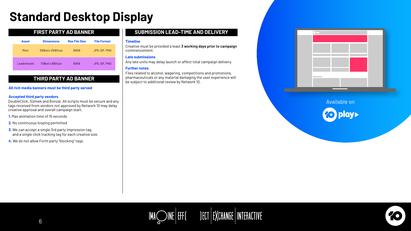# <span id="page-5-0"></span>**Standard Desktop Display**

# **THIRD PARTY AD BANNER**

# **SUBMISSION LEAD-TIME AND DELIVERY**

### **Accepted third party vendors**

### **All rich media banners must be third party served**

DoubleClick, Sizmek and Bonzai. All scripts must be secure and any tags received from vendors not approved by Network 10 may delay creative approval and overall campaign start.

- **1.** Max animation time of 15 seconds
- **2.** No continuous looping permitted
- **3.** We can accept a single 3rd party impression tag, and a single click tracking tag for each creative size.
- **4.** We do not allow Forth party "blocking" tags.

### **Timeline**

Creative must be provided a least **3 working days prior to campaign** commencement.

### **Late submissions**

Any late units may delay launch or affect total campaign delivery.

### **Further notes**

Files related to alcohol, wagering, competitions and promotions, pharmaceuticals or any material damaging the user experience will be subject to additional review by Network 10.



# **FIRST PARTY AD BANNER**

| <b>Asset</b> | <b>Dimensions</b>         | <b>Max File Size</b> | <b>File Format</b> |
|--------------|---------------------------|----------------------|--------------------|
| <b>Mrec</b>  | $300(w) \times 250(h)$ px | 80KB                 | JPG, GIF, PNG      |
| Leaderboard  | $728(w) \times 90(h)$ px  | <b>80KB</b>          | JPG, GIF, PNG      |



# $\mathsf{IMA}\underset{\sim}{\bigcirc} \mathsf{INE}\Big|\mathsf{EFF}[\hspace{1cm}] \mathsf{FHT}\Big|\mathsf{F}\mathsf{XCHANGE}\Big|\mathsf{INTERATIVE}\Big.$

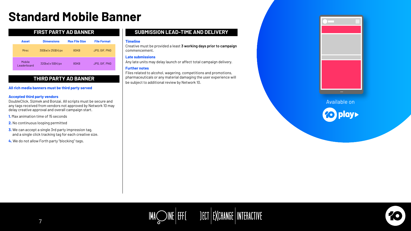# <span id="page-6-0"></span>**Standard Mobile Banner**

# **SUBMISSION LEAD-TIME AND DELIVERY**

### **Timeline**

Creative must be provided a least **3 working days prior to campaign** commencement.

### **Late submissions**

Any late units may delay launch or affect total campaign delivery.

### **Further notes**

Files related to alcohol, wagering, competitions and promotions, pharmaceuticals or any material damaging the user experience will be subject to additional review by Network 10.





# **FIRST PARTY AD BANNER**

7

| <b>Asset</b>          | <b>Dimensions</b>         | <b>Max File Size</b> | <b>File Format</b>   |
|-----------------------|---------------------------|----------------------|----------------------|
| <b>Mrec</b>           | $300(w) \times 250(h)$ px | <b>80KB</b>          | JPG, GIF, PNG        |
| Mobile<br>Leaderboard | $320(w) \times 50(h)$ px  | <b>80KB</b>          | <b>JPG, GIF, PNG</b> |

# **THIRD PARTY AD BANNER**

### **Accepted third party vendors**

### **All rich media banners must be third party served**

DoubleClick, Sizmek and Bonzai. All scripts must be secure and any tags received from vendors not approved by Network 10 may delay creative approval and overall campaign start.

- **1.** Max animation time of 15 seconds
- **2.** No continuous looping permitted

- **3.** We can accept a single 3rd party impression tag, and a single click tracking tag for each creative size.
- **4.** We do not allow Forth party "blocking" tags.

# Available on

# IMAQ INE EFF [ JECT EXCHANGE | INTERACTIVE

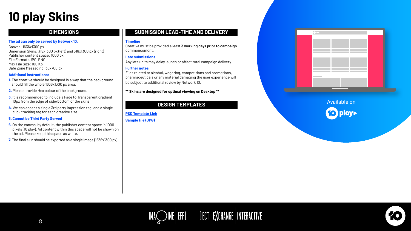# <span id="page-7-0"></span>**10 play Skins**

# **SUBMISSION LEAD-TIME AND DELIVERY**

# Available on

# IMAQ INE | EFF[ JECT | EXCHANGE | INTERACTIVE



Creative must be provided a least **3 working days prior to campaign** commencement.

# **Late submissions**

Any late units may delay launch or affect total campaign delivery.

# **Further notes**

Files related to alcohol, wagering, competitions and promotions, pharmaceuticals or any material damaging the user experience will be subject to additional review by Network 10.

# **\*\* Skins are designed for optimal viewing on Desktop \*\***

# **DIMENSIONS**

# The ad can only be served by Network 10. **The administer of the Served By Network 10.** Timeline

# **DESIGN TEMPLATES**

- **6.** On the canvas, by default, the publisher content space is 1000 pixels (10 play). Ad content within this space will not be shown on the ad. Please keep this space as white.
- **7.** The final skin should be exported as a single image (1636x1300 px)

Canvas: 1636x1300 px Dimension Skins: 318x1300 px (left) and 318x1300 px (right) Publisher content space: 1000 px File Format: JPG, PNG Max File Size: 100 Kb Safe Zone Messaging 136x700 px

# **Additional Instructions:**

- **1.** The creative should be designed in a way that the background should fill the whole 1636x1300 px area.
- **2.** Please provide Hex colour of the background.
- **3.** It is recommended to include a Fade to Transparent gradient 10px from the edge of side/bottom of the skins
- **4.** We can accept a single 3rd party impression tag, and a single click tracking tag for each creative size.

# **5. Cannot be Third Party Served**

**[PSD Template Link](https://drive.google.com/file/d/1eou80T4QGH-S8fpqwUsd3wlVNshWP9IC/view) [Sample file \(JPG\)](https://drive.google.com/file/d/1KYuPZuDO7MHF2Bvvfi6x1xU22hz2ukkK/view)**